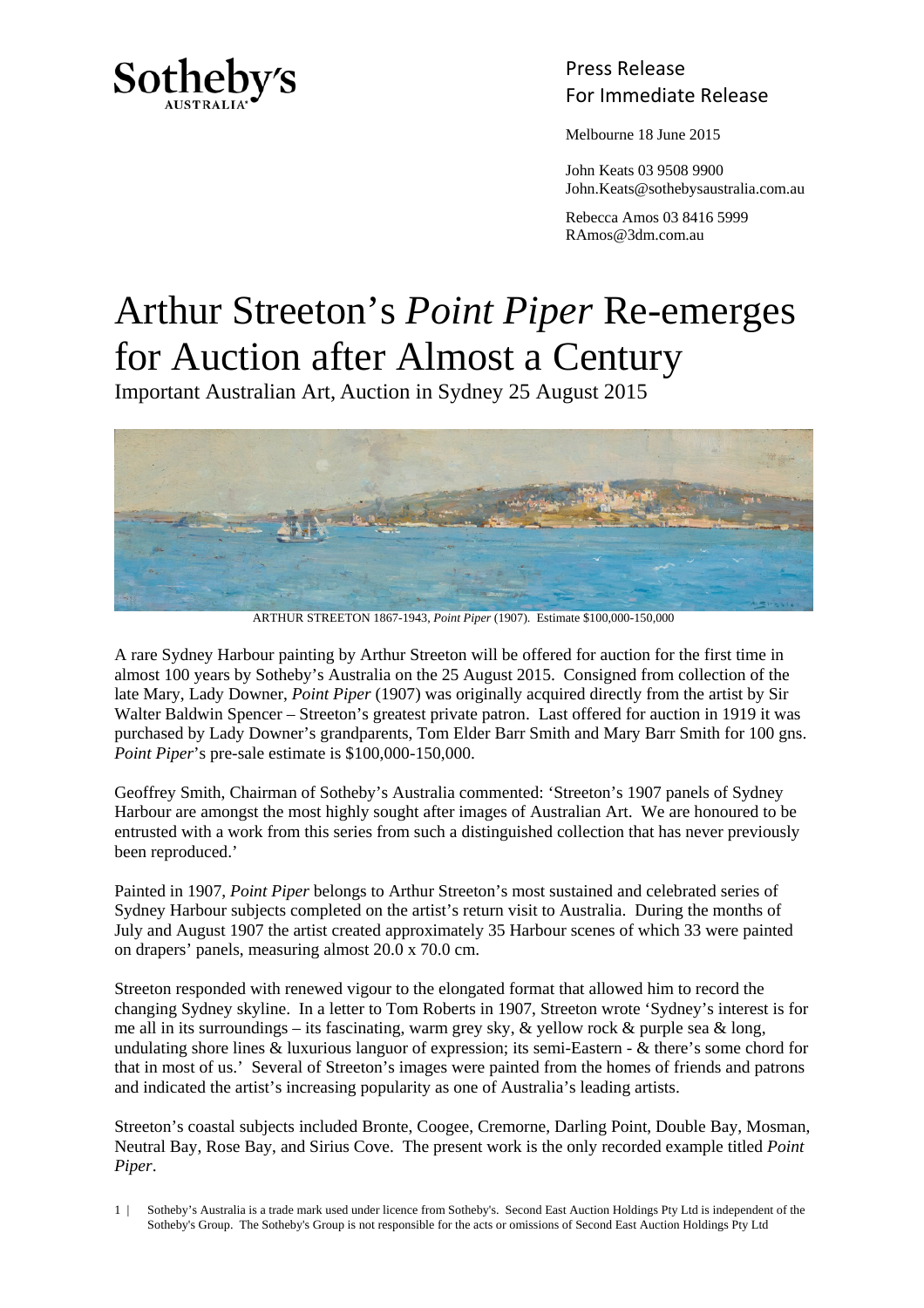

## Press Release For Immediate Release

Melbourne 18 June 2015

 John Keats 03 9508 9900 John.Keats@sothebysaustralia.com.au

 Rebecca Amos 03 8416 5999 RAmos@3dm.com.au

## Arthur Streeton's *Point Piper* Re-emerges for Auction after Almost a Century

Important Australian Art, Auction in Sydney 25 August 2015



ARTHUR STREETON 1867-1943, *Point Piper* (1907). Estimate \$100,000-150,000

A rare Sydney Harbour painting by Arthur Streeton will be offered for auction for the first time in almost 100 years by Sotheby's Australia on the 25 August 2015. Consigned from collection of the late Mary, Lady Downer, *Point Piper* (1907) was originally acquired directly from the artist by Sir Walter Baldwin Spencer – Streeton's greatest private patron. Last offered for auction in 1919 it was purchased by Lady Downer's grandparents, Tom Elder Barr Smith and Mary Barr Smith for 100 gns. *Point Piper*'s pre-sale estimate is \$100,000-150,000.

Geoffrey Smith, Chairman of Sotheby's Australia commented: 'Streeton's 1907 panels of Sydney Harbour are amongst the most highly sought after images of Australian Art. We are honoured to be entrusted with a work from this series from such a distinguished collection that has never previously been reproduced.'

Painted in 1907, *Point Piper* belongs to Arthur Streeton's most sustained and celebrated series of Sydney Harbour subjects completed on the artist's return visit to Australia. During the months of July and August 1907 the artist created approximately 35 Harbour scenes of which 33 were painted on drapers' panels, measuring almost 20.0 x 70.0 cm.

Streeton responded with renewed vigour to the elongated format that allowed him to record the changing Sydney skyline. In a letter to Tom Roberts in 1907, Streeton wrote 'Sydney's interest is for me all in its surroundings – its fascinating, warm grey sky,  $\&$  yellow rock  $\&$  purple sea  $\&$  long, undulating shore lines & luxurious languor of expression; its semi-Eastern - & there's some chord for that in most of us.' Several of Streeton's images were painted from the homes of friends and patrons and indicated the artist's increasing popularity as one of Australia's leading artists.

Streeton's coastal subjects included Bronte, Coogee, Cremorne, Darling Point, Double Bay, Mosman, Neutral Bay, Rose Bay, and Sirius Cove. The present work is the only recorded example titled *Point Piper*.

<sup>1 |</sup> Sotheby's Australia is a trade mark used under licence from Sotheby's. Second East Auction Holdings Pty Ltd is independent of the Sotheby's Group. The Sotheby's Group is not responsible for the acts or omissions of Second East Auction Holdings Pty Ltd